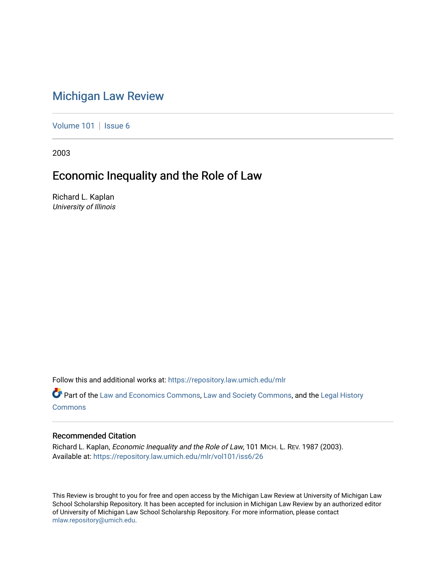# [Michigan Law Review](https://repository.law.umich.edu/mlr)

[Volume 101](https://repository.law.umich.edu/mlr/vol101) | [Issue 6](https://repository.law.umich.edu/mlr/vol101/iss6)

2003

# Economic Inequality and the Role of Law

Richard L. Kaplan University of Illinois

Follow this and additional works at: [https://repository.law.umich.edu/mlr](https://repository.law.umich.edu/mlr?utm_source=repository.law.umich.edu%2Fmlr%2Fvol101%2Fiss6%2F26&utm_medium=PDF&utm_campaign=PDFCoverPages) 

Part of the [Law and Economics Commons](http://network.bepress.com/hgg/discipline/612?utm_source=repository.law.umich.edu%2Fmlr%2Fvol101%2Fiss6%2F26&utm_medium=PDF&utm_campaign=PDFCoverPages), [Law and Society Commons,](http://network.bepress.com/hgg/discipline/853?utm_source=repository.law.umich.edu%2Fmlr%2Fvol101%2Fiss6%2F26&utm_medium=PDF&utm_campaign=PDFCoverPages) and the [Legal History](http://network.bepress.com/hgg/discipline/904?utm_source=repository.law.umich.edu%2Fmlr%2Fvol101%2Fiss6%2F26&utm_medium=PDF&utm_campaign=PDFCoverPages) [Commons](http://network.bepress.com/hgg/discipline/904?utm_source=repository.law.umich.edu%2Fmlr%2Fvol101%2Fiss6%2F26&utm_medium=PDF&utm_campaign=PDFCoverPages)

## Recommended Citation

Richard L. Kaplan, Economic Inequality and the Role of Law, 101 MICH. L. REV. 1987 (2003). Available at: [https://repository.law.umich.edu/mlr/vol101/iss6/26](https://repository.law.umich.edu/mlr/vol101/iss6/26?utm_source=repository.law.umich.edu%2Fmlr%2Fvol101%2Fiss6%2F26&utm_medium=PDF&utm_campaign=PDFCoverPages) 

This Review is brought to you for free and open access by the Michigan Law Review at University of Michigan Law School Scholarship Repository. It has been accepted for inclusion in Michigan Law Review by an authorized editor of University of Michigan Law School Scholarship Repository. For more information, please contact [mlaw.repository@umich.edu.](mailto:mlaw.repository@umich.edu)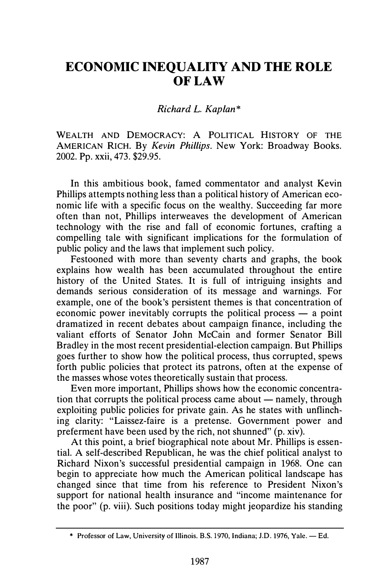# ECONOMIC INEQUALITY AND THE ROLE OF LAW

### Richard L. Kaplan\*

WEALTH AND DEMOCRACY: A POLITICAL HISTORY OF THE AMERICAN RICH. By Kevin Phillips. New York: Broadway Books. 2002. Pp. xxii, 473. \$29.95.

In this ambitious book, famed commentator and analyst Kevin Phillips attempts nothing less than a political history of American economic life with a specific focus on the wealthy. Succeeding far more often than not, Phillips interweaves the development of American technology with the rise and fall of economic fortunes, crafting a compelling tale with significant implications for the formulation of public policy and the laws that implement such policy.

Festooned with more than seventy charts and graphs, the book explains how wealth has been accumulated throughout the entire history of the United States. It is full of intriguing insights and demands serious consideration of its message and warnings. For example, one of the book's persistent themes is that concentration of economic power inevitably corrupts the political process  $-$  a point dramatized in recent debates about campaign finance, including the valiant efforts of Senator John McCain and former Senator Bill Bradley in the most recent presidential-election campaign. But Phillips goes further to show how the political process, thus corrupted, spews forth public policies that protect its patrons, often at the expense of the masses whose votes theoretically sustain that process.

Even more important, Phillips shows how the economic concentration that corrupts the political process came about  $-$  namely, through exploiting public policies for private gain. As he states with unflinching clarity: "Laissez-faire is a pretense. Government power and preferment have been used by the rich, not shunned" (p. xiv).

At this point, a brief biographical note about Mr. Phillips is essential. A self-described Republican, he was the chief political analyst to Richard Nixon's successful presidential campaign in 1968. One can begin to appreciate how much the American political landscape has changed since that time from his reference to President Nixon's support for national health insurance and "income maintenance for the poor" (p. viii). Such positions today might jeopardize his standing

<sup>\*</sup> Professor of Law, University of Illinois. B.S. 1970, Indiana; J.D. 1976, Yale. - Ed.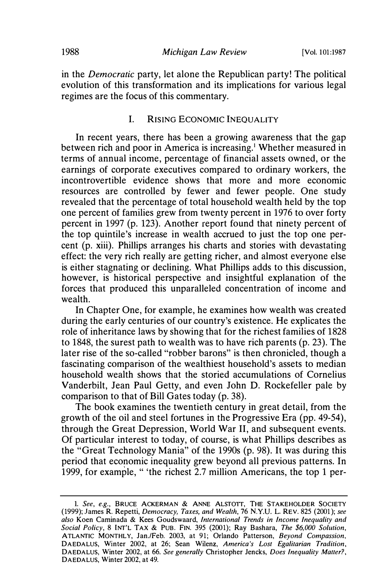in the Democratic party, let alone the Republican party! The political evolution of this transformation and its implications for various legal regimes are the focus of this commentary.

#### I. RISING ECONOMIC INEQUALITY

In recent years, there has been a growing awareness that the gap between rich and poor in America is increasing.<sup>1</sup> Whether measured in terms of annual income, percentage of financial assets owned, or the earnings of corporate executives compared to ordinary workers, the incontrovertible evidence shows that more and more economic resources are controlled by fewer and fewer people. One study revealed that the percentage of total household wealth held by the top one percent of families grew from twenty percent in 1976 to over forty percent in 1997 (p. 123). Another report found that ninety percent of the top quintile's increase in wealth accrued to just the top one percent (p. xiii). Phillips arranges his charts and stories with devastating effect: the very rich really are getting richer, and almost everyone else is either stagnating or declining. What Phillips adds to this discussion, however, is historical perspective and insightful explanation of the forces that produced this unparalleled concentration of income and wealth.

In Chapter One, for example, he examines how wealth was created during the early centuries of our country's existence. He explicates the role of inheritance laws by showing that for the richest families of 1828 to 1848, the surest path to wealth was to have rich parents (p. 23). The later rise of the so-called "robber barons" is then chronicled, though a fascinating comparison of the wealthiest household's assets to median household wealth shows that the storied accumulations of Cornelius Vanderbilt, Jean Paul Getty, and even John D. Rockefeller pale by comparison to that of Bill Gates today (p. 38).

The book examines the twentieth century in great detail, from the growth of the oil and steel fortunes in the Progressive Era (pp. 49-54), through the Great Depression, World War II, and subsequent events. Of particular interest to today, of course, is what Phillips describes as the "Great Technology Mania" of the 1990s (p. 98). It was during this period that economic inequality grew beyond all previous patterns. In 1999, for example, "'the richest 2.7 million Americans, the top 1 per-

<sup>1.</sup> See, e.g., BRUCE ACKERMAN & ANNE ALSTOTT, THE STAKEHOLDER SOCIETY (1999); James R. Repetti, Democracy, Taxes, and Wealth, 76 N.Y.U. L. REV. 825 (2001); see also Koen Caminada & Kees Goudswaard, International Trends in Income Inequality and Social Policy, 8 INT'L TAX & PUB. FIN. 395 (2001); Ray Bashara, The \$6,000 Solution, ATLANTIC MONTHLY, Jan./Feb. 2003, at 91; Orlando Patterson, Beyond Compassion, DAEDALUS, Winter 2002, at 26; Sean Wilenz, America's Lost Egalitarian Tradition, DAEDALUS, Winter 2002, at 66. See generally Christopher Jencks, Does Inequality Matter?, DAEDALUS, Winter 2002, at 49.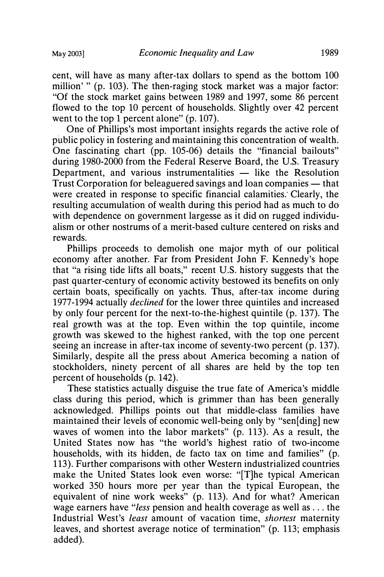cent, will have as many after-tax dollars to spend as the bottom 100 million' " (p. 103). The then-raging stock market was a major factor: "Of the stock market gains between 1989 and 1997, some 86 percent flowed to the top 10 percent of households. Slightly over 42 percent went to the top 1 percent alone" (p. 107).

One of Phillips's most important insights regards the active role of public policy in fostering and maintaining this concentration of wealth. One fascinating chart (pp. 105-06) details the "financial bailouts" during 1980-2000 from the Federal Reserve Board, the U.S. Treasury Department, and various instrumentalities  $-$  like the Resolution Trust Corporation for beleaguered savings and loan companies — that were created in response to specific financial calamities. Clearly, the resulting accumulation of wealth during this period had as much to do with dependence on government largesse as it did on rugged individualism or other nostrums of a merit-based culture centered on risks and rewards.

Phillips proceeds to demolish one major myth of our political economy after another. Far from President John F. Kennedy's hope that "a rising tide lifts all boats," recent U.S. history suggests that the past quarter-century of economic activity bestowed its benefits on only certain boats, specifically on yachts. Thus, after-tax income during 1977-1994 actually declined for the lower three quintiles and increased by only four percent for the next-to-the-highest quintile (p. 137). The real growth was at the top. Even within the top quintile, income growth was skewed to the highest ranked, with the top one percent seeing an increase in after-tax income of seventy-two percent (p. 137). Similarly, despite all the press about America becoming a nation of stockholders, ninety percent of all shares are held by the top ten percent of households (p. 142).

These statistics actually disguise the true fate of America's middle class during this period, which is grimmer than has been generally acknowledged. Phillips points out that middle-class families have maintained their levels of economic well-being only by "sen[ding] new waves of women into the labor markets" (p. 113). As a result, the United States now has "the world's highest ratio of two-income households, with its hidden, de facto tax on time and families" (p. 113). Further comparisons with other Western industrialized countries make the United States look even worse: "[T]he typical American worked 350 hours more per year than the typical European, the equivalent of nine work weeks" (p. 113). And for what? American wage earners have "less pension and health coverage as well as ... the Industrial West's least amount of vacation time, shortest maternity leaves, and shortest average notice of termination" (p. 113; emphasis added).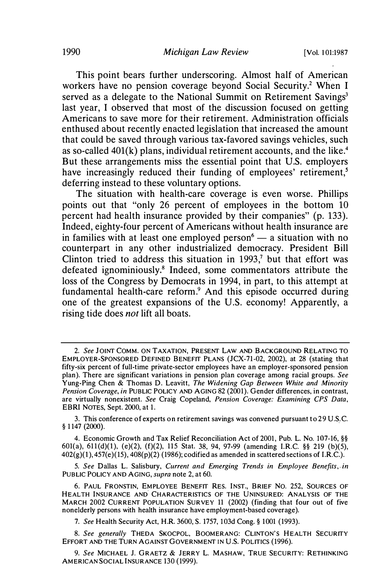This point bears further underscoring. Almost half of American workers have no pension coverage beyond Social Security.<sup>2</sup> When I served as a delegate to the National Summit on Retirement Savings<sup>3</sup> last year, I observed that most of the discussion focused on getting Americans to save more for their retirement. Administration officials enthused about recently enacted legislation that increased the amount that could be saved through various tax-favored savings vehicles, such as so-called  $401(k)$  plans, individual retirement accounts, and the like.<sup>4</sup> But these arrangements miss the essential point that U.S. employers have increasingly reduced their funding of employees' retirement.<sup>5</sup> deferring instead to these voluntary options.

The situation with health-care coverage is even worse. Phillips points out that "only 26 percent of employees in the bottom 10 percent had health insurance provided by their companies" (p. 133). Indeed, eighty-four percent of Americans without health insurance are in families with at least one employed person $\epsilon$  - a situation with no counterpart in any other industrialized democracy. President Bill Clinton tried to address this situation in 1993,<sup>7</sup> but that effort was defeated ignominiously.8 Indeed, some commentators attribute the loss of the Congress by Democrats in 1994, in part, to this attempt at fundamental health-care reform.<sup>9</sup> And this episode occurred during one of the greatest expansions of the U.S. economy! Apparently, a rising tide does not lift all boats.

3. This conference of experts on retirement savings was convened pursuant to 29 U.S.C. § 1 147 (2000).

4. Economic Growth and Tax Relief Reconciliation Act of 2001, Pub. L. No. 107-16, §§ 601(a), 611(d)(l), (e)(2), (f)(2), 115 Stat. 38, 94, 97-99 (amending I.RC. §§ 219 (b)(5),  $402(g)(1)$ ,  $457(e)(15)$ ,  $408(p)(2)$  (1986); codified as amended in scattered sections of I.R.C.).

5. See Dallas L. Salisbury, Current and Emerging Trends in Employee Benefits, in PUBLIC POLICY AND AGING, supra note 2, at 60.

6. PAUL FRONSTIN, EMPLOYEE BENEFIT RES. INST., BRIEF NO. 252, SOURCES OF HEALTH INSURANCE AND. CHARACTERISTICS OF THE UNINSURED: ANALYSIS OF THE MARCH 2002 CURRENT POPULATION SURVEY 11 (2002) (finding that four out of five nonelderly persons with health insurance have employment-based coverage).

7. See Health Security Act, H.R. 3600, S. 1757, 103d Cong.§ 1001 (1993).

8. See generally THEDA SKOCPOL, BOOMERANG: CLINTON'S HEALTH SECURITY EFFORT AND THE TURN AGAINST GOVERNMENT JN U.S. POLITICS (1996).

9. See MICHAEL J. GRAETZ & JERRY L. MASHAW, TRUE SECURITY: RETHINKING AMERICAN SOCIAL INSURANCE 130 (1999).

<sup>2.</sup> See JOINT COMM. ON TAXATION, PRESENT LAW AND BACKGROUND RELATING TO EMPLOYER-SPONSORED DEFINED BENEFIT PLANS (JCX-71-02, 2002), at 28 (stating that fifty-six percent of full-time private-sector employees have an employer-sponsored pension plan). There are significant variations in pension plan coverage among racial groups. See Yung-Ping Chen & Thomas D. Leavitt, The Widening Gap Between White and Minority Pension Coverage, in PUBLIC POLICY AND AGING 82 (2001). Gender differences, in contrast, are virtually nonexistent. See Craig Copeland, Pension Coverage: Examining CPS Data, EBRI NOTES, Sept. 2000, at 1.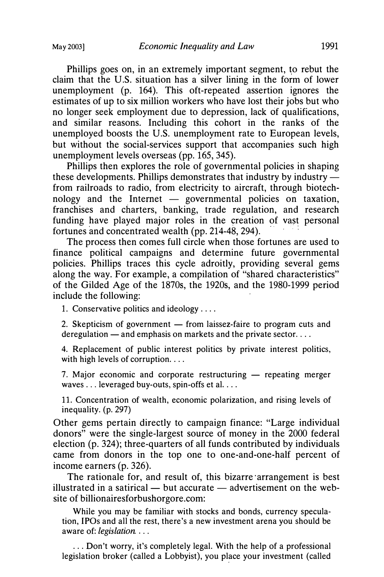Phillips goes on, in an extremely important segment, to rebut the claim that the U.S. situation has a silver lining in the form of lower unemployment (p. 164). This oft-repeated assertion ignores the estimates of up to six million workers who have lost their jobs but who no longer seek employment due to depression, lack of qualifications, and similar reasons. Including this cohort in the ranks of the unemployed boosts the U.S. unemployment rate to European levels, but without the social-services support that accompanies such high unemployment levels overseas (pp. 165, 345).

Phillips then explores the role of governmental policies in shaping these developments. Phillips demonstrates that industry by industry from railroads to radio, from electricity to aircraft, through biotechnology and the Internet  $-$  governmental policies on taxation, franchises and charters, banking, trade regulation, and research funding have played major roles in the creation of vast personal fortunes and concentrated wealth (pp.  $214-48$ ,  $294$ ).

The process then comes full circle when those fortunes are used to finance political campaigns and determine future governmental policies. Phillips traces this cycle adroitly, providing several gems along the way. For example, a compilation of "shared characteristics" of the Gilded Age of the 1870s, the 1920s, and the 1980-1999 period include the following:

1. Conservative politics and ideology ....

2. Skepticism of government  $-$  from laissez-faire to program cuts and deregulation  $-$  and emphasis on markets and the private sector...

4. Replacement of public interest politics by private interest politics, with high levels of corruption.  $\ldots$ 

7. Major economic and corporate restructuring  $-$  repeating merger waves ... leveraged buy-outs, spin-offs et al. ...

11. Concentration of wealth, economic polarization, and rising levels of inequality. (p. 297)

Other gems pertain directly to campaign finance: "Large individual donors" were the single-largest source of money in the 2000 federal election (p. 324); three-quarters of all funds contributed by individuals came from donors in the top one to one-and-one-half percent of income earners (p. 326).

The rationale for, and result of, this bizarre arrangement is best illustrated in a satirical  $-$  but accurate  $-$  advertisement on the website of billionairesforbushorgore.com:

While you may be familiar with stocks and bonds, currency speculation, IPOs and all the rest, there's a new investment arena you should be aware of: legislation. ...

... Don't worry, it's completely legal. With the help of a professional legislation broker (called a Lobbyist), you place your investment (called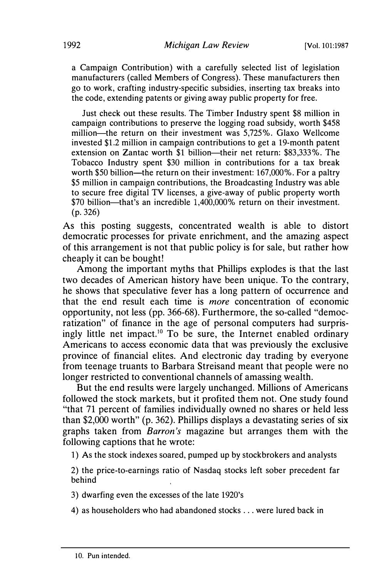a Campaign Contribution) with a carefully selected list of legislation manufacturers (called Members of Congress). These manufacturers then go to work, crafting industry-specific subsidies, inserting tax breaks into the code, extending patents or giving away public property for free.

Just check out these results. The Timber Industry spent \$8 million in campaign contributions to preserve the logging road subsidy, worth \$458 million-the return on their investment was 5,725%. Glaxo Wellcome invested \$1.2 million in campaign contributions to get a 19-month patent extension on Zantac worth \$1 billion—their net return: \$83,333%. The Tobacco Industry spent \$30 million in contributions for a tax break worth \$50 billion—the return on their investment: 167,000%. For a paltry \$5 million in campaign contributions, the Broadcasting Industry was able to secure free digital TV licenses, a give-away of public property worth \$70 billion—that's an incredible 1,400,000% return on their investment. (p. 326)

As this posting suggests, concentrated wealth is able to distort democratic processes for private enrichment, and the amazing aspect of this arrangement is not that public policy is for sale, but rather how cheaply it can be bought!

Among the important myths that Phillips explodes is that the last two decades of American history have been unique. To the contrary, he shows that speculative fever has a long pattern of occurrence and that the end result each time is more concentration of economic opportunity, not less (pp. 366-68). Furthermore, the so-called "democratization" of finance in the age of personal computers had surprisingly little net impact.<sup>10</sup> To be sure, the Internet enabled ordinary Americans to access economic data that was previously the exclusive province of financial elites. And electronic day trading by everyone from teenage truants to Barbara Streisand meant that people were no longer restricted to conventional channels of amassing wealth.

But the end results were largely unchanged. Millions of Americans followed the stock markets, but it profited them not. One study found "that 71 percent of families individually owned no shares or held less than \$2,000 worth" (p. 362). Phillips displays a devastating series of six graphs taken from Barron's magazine but arranges them with the following captions that he wrote:

1) As the stock indexes soared, pumped up by stockbrokers and analysts

2) the price-to-earnings ratio of Nasdaq stocks left sober precedent far behind

3) dwarfing even the excesses of the late 1920's

4) as householders who had abandoned stocks ... were lured back in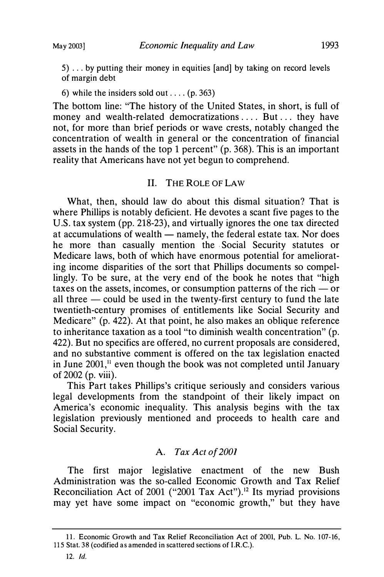5) ... by putting their money in equities [and] by taking on record levels of margin debt

6) while the insiders sold out ....  $(p. 363)$ 

The bottom line: "The history of the United States, in short, is full of money and wealth-related democratizations .... But ... they have not, for more than brief periods or wave crests, notably changed the concentration of wealth in general or the concentration of financial assets in the hands of the top 1 percent" (p. 368). This is an important reality that Americans have not yet begun to comprehend.

#### II. THE ROLE OF LAW

What, then, should law do about this dismal situation? That is where Phillips is notably deficient. He devotes a scant five pages to the U.S. tax system (pp. 218-23), and virtually ignores the one tax directed at accumulations of wealth — namely, the federal estate tax. Nor does he more than casually mention the Social Security statutes or Medicare laws, both of which have enormous potential for ameliorating income disparities of the sort that Phillips documents so compellingly. To be sure, at the very end of the book he notes that "high taxes on the assets, incomes, or consumption patterns of the rich  $-$  or all three  $-$  could be used in the twenty-first century to fund the late twentieth-century promises of entitlements like Social Security and Medicare" (p. 422). At that point, he also makes an oblique reference to inheritance taxation as a tool "to diminish wealth concentration" (p. 422). But no specifics are offered, no current proposals are considered, and no substantive comment is offered on the tax legislation enacted in June  $2001$ ,<sup> $\mu$ </sup> even though the book was not completed until January of 2002 (p. viii).

This Part takes Phillips's critique seriously and considers various legal developments from the standpoint of their likely impact on America's economic inequality. This analysis begins with the tax legislation previously mentioned and proceeds to health care and Social Security.

## A. Tax Act of 2001

The first major legislative enactment of the new Bush Administration was the so-called Economic Growth and Tax Relief Reconciliation Act of 2001 ("2001 Tax Act").<sup>12</sup> Its myriad provisions may yet have some impact on "economic growth," but they have

<sup>11.</sup> Economic Growth and Tax Relief Reconciliation Act of 2001, Pub. L. No. 107-16, 115 Stat. 38 (codified as amended in scattered sections of l.R.C.).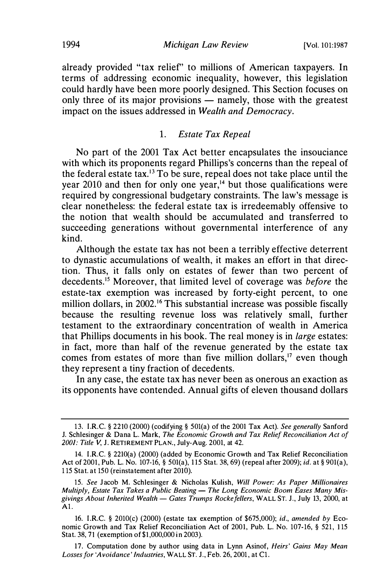already provided "tax relief" to millions of American taxpayers. In terms of addressing economic inequality, however, this legislation could hardly have been more poorly designed. This Section focuses on only three of its major provisions  $-$  namely, those with the greatest impact on the issues addressed in Wealth and Democracy.

#### 1. Estate Tax Repeal

No part of the 2001 Tax Act better encapsulates the insouciance with which its proponents regard Phillips's concerns than the repeal of the federal estate tax.<sup>13</sup> To be sure, repeal does not take place until the year 2010 and then for only one year,<sup>14</sup> but those qualifications were required by congressional budgetary constraints. The law's message is clear nonetheless: the federal estate tax is irredeemably offensive to the notion that wealth should be accumulated and transferred to succeeding generations without governmental interference of any kind.

Although the estate tax has not been a terribly effective deterrent to dynastic accumulations of wealth, it makes an effort in that direction. Thus, it falls only on estates of fewer than two percent of decedents.<sup>15</sup> Moreover, that limited level of coverage was *before* the estate-tax exemption was increased by forty-eight percent, to one million dollars, in 2002.<sup>16</sup> This substantial increase was possible fiscally because the resulting revenue loss was relatively small, further testament to the extraordinary concentration of wealth in America that Phillips documents in his book. The real money is in large estates: in fact, more than half of the revenue generated by the estate tax comes from estates of more than five million dollars,<sup>17</sup> even though they represent a tiny fraction of decedents.

In any case, the estate tax has never been as onerous an exaction as its opponents have contended. Annual gifts of eleven thousand dollars

<sup>13.</sup> l.R.C. § 2210 (2000) (codifying§ 501(a) of the 2001 Tax Act). See generally Sanford J. Schlesinger & Dana L. Mark, The Economic Growth and Tax Relief Reconciliation Act of 2001: Title V, J. RETIREMENT PLAN., July-Aug. 2001, at 42.

<sup>14.</sup> l.R.C. § 2210(a) (2000) (added by Economic Growth and Tax Relief Reconciliation Act of 2001, Pub. L. No. 107-16, § 501(a), 115 Stat. 38, 69) (repeal after 2009); id. at§ 901(a), 1 15 Stat. at 150 (reinstatement after 2010).

<sup>15.</sup> See Jacob M. Schlesinger & Nicholas Kulish, Will Power: As Paper Millionaires Multiply, Estate Tax Takes a Public Beating  $-$  The Long Economic Boom Eases Many Misgivings About Inherited Wealth - Gates Trumps Rockefellers, WALL ST. J., July 13, 2000, at Al.

<sup>16.</sup> l.R.C. § 2010(c) (2000) (estate tax exemption of \$675,000); id., amended by Economic Growth and Tax Relief Reconciliation Act of 2001, Pub. L. No. 107-16, § 521, 115 Stat. 38, 71 (exemption of \$1,000,000 in 2003).

<sup>17.</sup> Computation done by author using data in Lynn Asinof, Heirs' Gains May Mean Losses for 'Avoidance' Industries, WALL ST. J., Feb. 26, 2001, at Cl.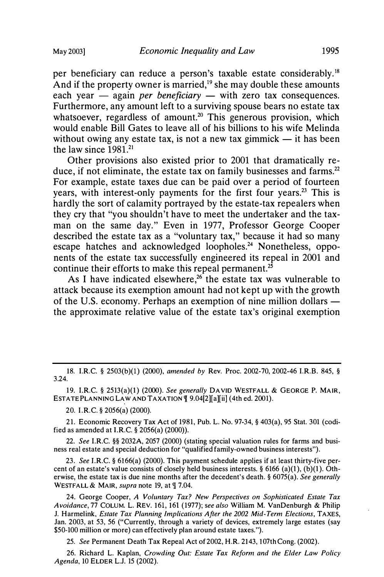per beneficiary can reduce a person's taxable estate considerably. 18 And if the property owner is married, $19$  she may double these amounts each year  $-$  again *per beneficiary*  $-$  with zero tax consequences. Furthermore, any amount left to a surviving spouse bears no estate tax whatsoever, regardless of amount.<sup>20</sup> This generous provision, which would enable Bill Gates to leave all of his billions to his wife Melinda without owing any estate tax, is not a new tax gimmick  $-$  it has been the law since  $1981<sup>21</sup>$ 

Other provisions also existed prior to 2001 that dramatically reduce, if not eliminate, the estate tax on family businesses and farms.<sup>22</sup> For example, estate taxes due can be paid over a period of fourteen years, with interest-only payments for the first four years.<sup>23</sup> This is hardly the sort of calamity portrayed by the estate-tax repealers when they cry that "you shouldn't have to meet the undertaker and the taxman on the same day." Even in 1977, Professor George Cooper described the estate tax as a "voluntary tax," because it had so many escape hatches and acknowledged loopholes.<sup>24</sup> Nonetheless, opponents of the estate tax successfully engineered its repeal in 2001 and continue their efforts to make this repeal permanent.<sup>25</sup>

As I have indicated elsewhere,<sup>26</sup> the estate tax was vulnerable to attack because its exemption amount had not kept up with the growth of the U.S. economy. Perhaps an exemption of nine million dollars  $$ the approximate relative value of the estate tax's original exemption

19. I.RC. § 2513(a)(l) (2000). See generally DAVID WESTFALL & GEORGE P. MAIR, ESTATE PLANNING LAW AND TAXATION  $\P$  9.04[2][a][ii] (4th ed. 2001).

20. I.RC. § 2056(a) (2000).

21. Economic Recovery Tax Act of 1981, Pub. L. No. 97-34, § 403(a), 95 Stat. 301 (codified as amended at I.R.C.  $\S$  2056(a) (2000)).

22. See I.RC. §§ 2032A, 2057 (2000) (stating special valuation rules for farms and business real estate and special deduction fot "qualified family-owned business interests").

23. See I.RC.§ 6166(a) (2000). This payment schedule applies if at least thirty-five percent of an estate's value consists of closely held business interests. § 6166 (a)(1), (b)(1). Otherwise, the estate tax is due nine months after the decedent's death. § 6075(a). See generally WESTFALL & MAIR, supra note 19, at  $\P$  7.04.

24. George Cooper, A Voluntary Tax? New Perspectives on Sophisticated Estate Tax Avoidance, 77 COLUM. L. REV. 161, 161 (1977); see also William M. VanDenburgh & Philip J. Harmelink, Estate Tax Planning Implications After the 2002 Mid-Term Elections, TAXES, Jan. 2003, at 53, 56 ("Currently, through a variety of devices, extremely large estates (say \$50-100 million or more) can effectively plan around estate taxes.").

25. See Permanent Death Tax Repeal Act of 2002, H.R. 2143, 107th Cong. (2002).

26. Richard L. Kaplan, Crowding Out: Estate Tax Reform and the Elder Law Policy Agenda, 10 ELDER L.J. 15 (2002). .

<sup>18.</sup> I.R.C. § 2503(b)(1) (2000), amended by Rev. Proc. 2002-70, 2002-46 I.R.B. 845, § 3.24.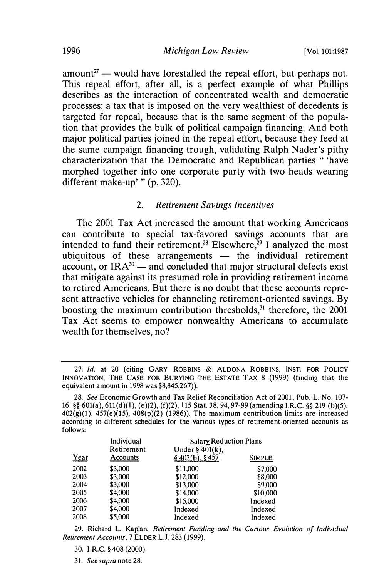amount<sup>27</sup> - would have forestalled the repeal effort, but perhaps not. This repeal effort, after all, is a perfect example of what Phillips describes as the interaction of concentrated wealth and democratic processes: a tax that is imposed on the very wealthiest of decedents is targeted for repeal, because that is the same segment of the population that provides the bulk of political campaign financing. And both major political parties joined in the repeal effort, because they feed at the same campaign financing trough, validating Ralph Nader's pithy characterization that the Democratic and Republican parties " 'have morphed together into one corporate party with two heads wearing different make-up' " (p. 320).

#### 2. Retirement Savings Incentives

The 2001 Tax Act increased the amount that working Americans can contribute to special tax-favored savings accounts that are intended to fund their retirement.<sup>28</sup> Elsewhere,<sup>29</sup> I analyzed the most ubiquitous of these arrangements  $-$  the individual retirement account, or  $IRA^{30}$  — and concluded that major structural defects exist that mitigate against its presumed role in providing retirement income to retired Americans. But there is no doubt that these accounts represent attractive vehicles for channeling retirement-oriented savings. By boosting the maximum contribution thresholds, $31$  therefore, the 2001 Tax Act seems to empower nonwealthy Americans to accumulate wealth for themselves, no?

<sup>28.</sup> See Economic Growth and Tax Relief Reconciliation Act of 2001, Pub. L. No. 107- 16, §§ 601(a), 611(d)(1), (e)(2), (f)(2), 115 Stat. 38, 94, 97-99 (amending I.R.C. §§ 219 (b)(5),  $402(g)(1)$ ,  $457(e)(15)$ ,  $408(p)(2)$  (1986)). The maximum contribution limits are increased according to different schedules for the various types of retirement-oriented accounts as follows:

|      | Individual<br>Retirement<br>Accounts | <b>Salary Reduction Plans</b><br>Under § $401(k)$ , |               |
|------|--------------------------------------|-----------------------------------------------------|---------------|
| Year |                                      | \$403(b), \$457                                     | <b>SIMPLE</b> |
| 2002 | \$3,000                              | \$11,000                                            | \$7,000       |
| 2003 | \$3,000                              | \$12,000                                            | \$8,000       |
| 2004 | \$3,000                              | \$13,000                                            | \$9,000       |
| 2005 | \$4,000                              | \$14,000                                            | \$10,000      |
| 2006 | \$4,000                              | \$15,000                                            | Indexed       |
| 2007 | \$4,000                              | Indexed                                             | Indexed       |
| 2008 | \$5,000                              | Indexed                                             | Indexed       |

29. Richard L. Kaplan, Retirement Funding and the Curious Evolution of Individual Retirement Accounts, 7 ELDER L.J. 283 (1999).

31. See supra note 28.

<sup>27.</sup> Id. at 20 (citing GARY ROBBINS & ALDONA ROBBINS, INST. FOR POLICY INNOVATION, THE CASE FOR BURYING THE ESTATE TAX 8 (1999) (finding that the equivalent amount in 1998 was \$8,845,267)).

<sup>30.</sup> I.R.C. § 408 (2000).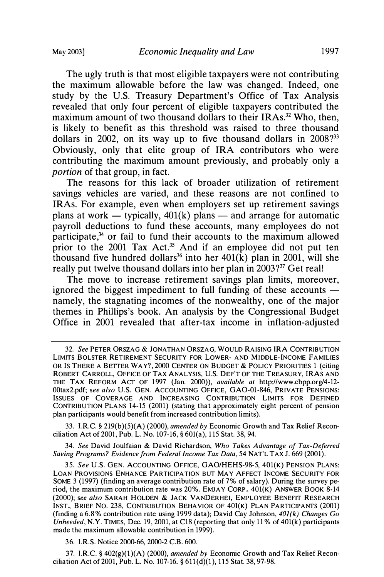The ugly truth is that most eligible taxpayers were not contributing the maximum allowable before the law was changed. Indeed, one study by the U.S. Treasury Department's Office of Tax Analysis revealed that only four percent of eligible taxpayers contributed the maximum amount of two thousand dollars to their IRAs.<sup>32</sup> Who, then, is likely to benefit as this threshold was raised to three thousand dollars in 2002, on its way up to five thousand dollars in  $2008$ ?<sup>33</sup> Obviously, only that elite group of IRA contributors who were contributing the maximum amount previously, and probably only a portion of that group, in fact.

The reasons for this lack of broader utilization of retirement savings vehicles are varied, and these reasons are not confined to IRAs. For example, even when employers set up retirement savings plans at work — typically,  $401(k)$  plans — and arrange for automatic payroll deductions to fund these accounts, many employees do not participate,<sup>34</sup> or fail to fund their accounts to the maximum allowed prior to the 2001 Tax Act.<sup>35</sup> And if an employee did not put ten thousand five hundred dollars<sup>36</sup> into her  $401(\hat{k})$  plan in 2001, will she really put twelve thousand dollars into her plan in 2003?<sup>37</sup> Get real!

The move to increase retirement savings plan limits, moreover, ignored the biggest impediment to full funding of these accounts  $$ namely, the stagnating incomes of the nonwealthy, one of the major themes in Phillips's book. An analysis by the Congressional Budget Office in 2001 revealed that after-tax income in inflation-adjusted

33. l.R.C. § 219(b)(5)(A) (2000), amended by Economic Growth and Tax Relief Reconciliation Act of 2001, Pub. L. No. 107-16, § 601(a), 1 15 Stat. 38, 94.

34. See David Joulfaian & David Richardson, Who Takes Advantage of Tax-Deferred Saving Programs? Evidence from Federal Income Tax Data, 54 NAT'L TAX J. 669 (2001).

36. I.R.S. Notice 2000-66, 2000-2 C.B. 600.

37. I.R.C. §  $402(g)(1)(A)$  (2000), amended by Economic Growth and Tax Relief Reconciliation Act of 2001, Pub. L. No. 107-16, § 61l(d)(l), 115 Stat. 38, 97-98.

<sup>32.</sup> See PETER ORSZAG & JONATHAN ORSZAG, WOULD RAISING IRA CONTRIBUTION LIMITS BOLSTER RETIREMENT SECURITY FOR LOWER- AND MIDDLE-INCOME FAMILIES OR Is THERE A BETTER WAY?, 2000 CENTER ON BUDGET & POLICY PRIORITIES 1 (citing ROBERT CARROLL, OFFICE OF TAX ANALYSIS, U.S. DEP'T OF THE TREASURY, IRAS AND THE TAX REFORM ACT OF 1997 (Jan. 2000)), available at http://www.cbpp.org/4-12- 00tax2.pdf; see also U.S. GEN. ACCOUNTING OFFICE, GAO-01-846, PRIVATE PENSIONS: ISSUES OF COVERAGE AND INCREASING CONTRIBUTION LIMITS FOR DEFINED CONTRIBUTION PLANS 14-15 (2001) (stating that approximately eight percent of pension plan participants would benefit from increased contribution limits).

<sup>35.</sup> See U.S. GEN. ACCOUNTING OFFICE, GAO/HEHS-98-5, 401(K) PENSION PLANS: LOAN PROVISIONS ENHANCE PARTICIPATION BUT MAY AFFECT INCOME SECURITY FOR SOME 3 (1997) (finding an average contribution rate of 7% of salary). During the survey period, the maximum contribution rate was 20%. EMJAY CORP., 401(K) ANSWER BOOK 8-14 (2000); see also SARAH HOLDEN & JACK VANDERHEI, EMPLOYEE BENEFIT RESEARCH INST., BRIEF NO. 238, CONTRIBUTION BEHAVIOR OF 401(K) PLAN PARTICIPANTS (2001) (finding a 6.8% contribution rate using 1999 data); David Cay Johnson,  $401(k)$  Changes Go Unheeded, N.Y. TIMES, Dec. 19, 2001, at C18 (reporting that only 11% of 401(k) participants made the maximum allowable contribution in 1999).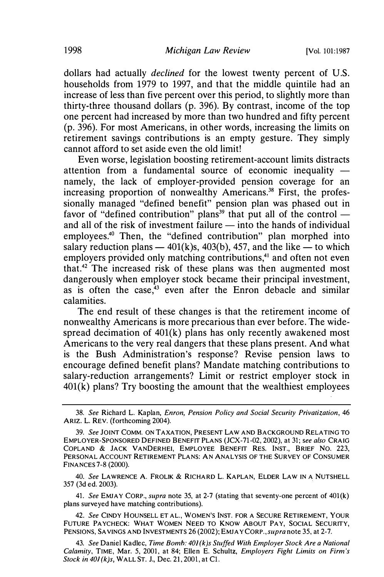dollars had actually *declined* for the lowest twenty percent of U.S. households from 1979 to 1997, and that the middle quintile had an increase of less than five percent over this period, to slightly more than thirty-three thousand dollars (p. 396). By contrast, income of the top one percent had increased by more than two hundred and fifty percent (p. 396). For most Americans, in other words, increasing the limits on retirement savings contributions is an empty gesture. They simply cannot afford to set aside even the old limit!

Even worse, legislation boosting retirement-account limits distracts attention from a fundamental source of economic inequality  $$ namely, the lack of employer-provided pension coverage for an increasing proportion of nonwealthy Americans.<sup>38</sup> First, the professionally managed "defined benefit" pension plan was phased out in favor of "defined contribution" plans<sup>39</sup> that put all of the control  $$ and all of the risk of investment failure  $-$  into the hands of individual employees.40 Then, the "defined contribution" plan morphed into salary reduction plans  $-$  401(k)s, 403(b), 457, and the like  $-$  to which employers provided only matching contributions,<sup>41</sup> and often not even that.<sup>42</sup> The increased risk of these plans was then augmented most dangerously when employer stock became their principal investment, as is often the case, $43$  even after the Enron debacle and similar calamities.

The end result of these changes is that the retirement income of nonwealthy Americans is more precarious than ever before. The widespread decimation of 401(k) plans has only recently awakened most Americans to the very real dangers that these plans present. And what is the Bush Administration's response? Revise pension laws to encourage defined benefit plans? Mandate matching contributions to salary-reduction arrangements? Limit or restrict employer stock in  $401(k)$  plans? Try boosting the amount that the wealthiest employees

40. *See* Lawrence A. Frolik & Richard L. Kaplan, Elder Law in a Nutshell 357 (3d ed. 2003).

41. See EMJAY CORP., supra note 35, at 2-7 (stating that seventy-one percent of  $401(k)$ ) plans surveyed have matching contributions).

42. See CINDY HOUNSELL ET AL., WOMEN'S INST. FOR A SECURE RETIREMENT, YOUR FUTURE PAYCHECK: WHAT WOMEN NEED TO KNOW ABOUT PAY, SOCIAL SECURITY, PENSIONS, SAVINGS AND INVESTMENTS 26 (2002); EMJAY CORP., supra note 35, at 2-7.

<sup>38.</sup> See Richard L. Kaplan, Enron, Pension Policy and Social Security Privatization, 46 ARIZ. L. REV. (forthcoming 2004).

<sup>39.</sup> See JOINT COMM. ON TAXATION, PRESENT LAW AND BACKGROUND RELATING TO EMPLOYER-SPONSORED DEFINED BENEFIT PLANS (JCX-71-02, 2002), at 31; see also CRAIG COPLAND & JACK VANDERHEI, EMPLOYEE BENEFIT RES. INST., BRIEF NO. 223, PERSONAL ACCOUNT RETIREMENT PLANS: AN ANALYSIS OF THE SURVEY OF CONSUMER FINANCES 7-8 (2000).

<sup>43.</sup> See Daniel Kadlec, Time Bomb: 401(k)s Stuffed With Employer Stock Are a National Calamity, TIME, Mar. 5, 2001, at 84; Ellen E. Schultz, Employers Fight Limits on Firm's Stock in 401(k)s, WALL ST. J., Dec. 21, 2001, at C1.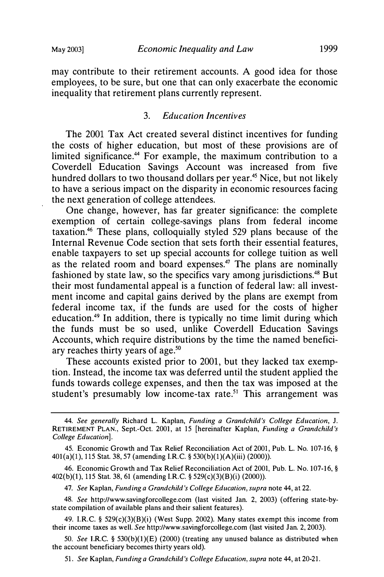may contribute to their retirement accounts. A good idea for those employees, to be sure, but one that can only exacerbate the economic inequality that retirement plans currently represent.

#### 3. Education Incentives

The 2001 Tax Act created several distinct incentives for funding the costs of higher education, but most of these provisions are of limited significance.<sup>44</sup> For example, the maximum contribution to a Coverdell Education Savings Account was increased from five hundred dollars to two thousand dollars per year.<sup>45</sup> Nice, but not likely to have a serious impact on the disparity in economic resources facing the next generation of college attendees.

One change, however, has far greater significance: the complete exemption of certain college-savings plans from federal income taxation.46 These plans, colloquially styled 529 plans because of the Internal Revenue Code section that sets forth their essential features, enable taxpayers to set up special accounts for college tuition as well as the related room and board expenses.<sup>47</sup> The plans are nominally fashioned by state law, so the specifics vary among jurisdictions.<sup>48</sup> But their most fundamental appeal is a function of federal law: all investment income and capital gains derived by the plans are exempt from federal income tax, if the funds are used for the costs of higher education.49 In addition, there is typically no time limit during which the funds must be so used, unlike Coverdell Education Savings Accounts, which require distributions by the time the named beneficiary reaches thirty years of age.<sup>50</sup>

These accounts existed prior to 2001, but they lacked tax exemption. Instead, the income tax was deferred until the student applied the funds towards college expenses, and then the tax was imposed at the student's presumably low income-tax rate.<sup>51</sup> This arrangement was

47. See Kaplan, Funding a Grandchild's College Education, supra note 44, at 22.

48. See http://www.savingforcollege.com (last visited Jan. 2, 2003) (offering state-bystate compilation of available plans and their salient features).

49. I.RC. § 529(c)(3)(B)(i) (West Supp. 2002). Many states exempt this income from their income taxes as well. See http://www.savingforcollege.com (last visited Jan. 2, 2003).

50. See I.R.C. § 530(b)(1)(E) (2000) (treating any unused balance as distributed when the account beneficiary becomes thirty years old).

51. See Kaplan, Funding a Grandchild's College Education, supra note 44, at 20-21.

<sup>44.</sup> See generally Richard L. Kaplan, Funding a Grandchild's College Education, 1. RETIREMENT PLAN. , Sept.-Oct. 2001, at 15 [hereinafter Kaplan, Funding a Grandchild's College Education].

<sup>45.</sup> Economic Growth and Tax Relief Reconciliation Act of 2001, Pub. L. No. 107-16, § 40l(a)(l), 115 Stat. 38, 57 (amending I.RC.§ 530(b)(l)(A)(iii) (2000)).

<sup>46.</sup> Economic Growth and Tax Relief Reconciliation Act of 2001, Pub. L. No. 107-16, § 402(b)(l), 115 Stat. 38, 61 (amending I.RC.§ 529(c)(3)(B)(i) (2000)).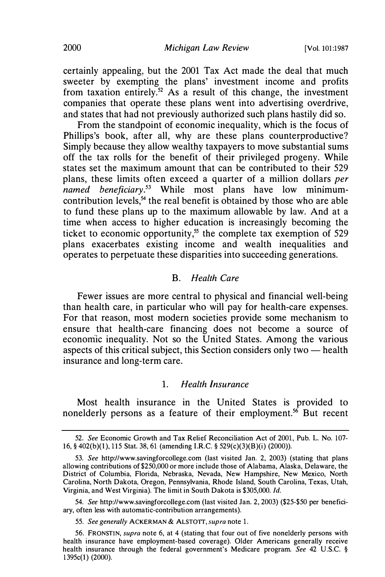certainly appealing, but the 2001 Tax Act made the deal that much sweeter by exempting the plans' investment income and profits from taxation entirely.<sup>52</sup> As a result of this change, the investment companies that operate these plans went into advertising overdrive, and states that had not previously authorized such plans hastily did so.

From the standpoint of economic inequality, which is the focus of Phillips's book, after all, why are these plans counterproductive? Simply because they allow wealthy taxpayers to move substantial sums off the tax rolls for the benefit of their privileged progeny. While states set the maximum amount that can be contributed to their 529 plans, these limits often exceed a quarter of a million dollars per  $n$ amed beneficiary.<sup>53</sup> While most plans have low minimumcontribution levels, $54$  the real benefit is obtained by those who are able to fund these plans up to the maximum allowable by law. And at a time when access to higher education is increasingly becoming the ticket to economic opportunity,<sup>55</sup> the complete tax exemption of 529 plans exacerbates existing income and wealth inequalities and operates to perpetuate these disparities into succeeding generations.

#### B. Health Care

Fewer issues are more central to physical and financial well-being than health care, in particular who will pay for health-care expenses. For that reason, most modem societies provide some mechanism to ensure that health-care financing does not become a source of economic inequality. Not so the United States. Among the various aspects of this critical subject, this Section considers only two  $-$  health insurance and long-term care.

#### 1. Health Insurance

Most health insurance in the United States is provided to nonelderly persons as a feature of their employment.<sup>56</sup> But recent

<sup>52.</sup> See Economic Growth and Tax Relief Reconciliation Act of 2001, Pub. L. No. 107- 16, § 402(b)(l), 115 Stat. 38, 61 (amending l.R.C. § 529(c)(3)(B)(i) (2000)).

<sup>53.</sup> See http://www.savingforcollege.com (last visited Jan. 2, 2003) (stating that plans allowing contributions of \$250,000 or more include those of Alabama, Alaska, Delaware, the District of Columbia, Florida, Nebraska, Nevada, New Hampshire, New Mexico, North Carolina, North Dakota, Oregon, Pennsylvania, Rhode Island, South Carolina, Texas, Utah, Virginia, and West Virginia). The limit in South Dakota is \$305,000. Id.

<sup>54.</sup> See http://www.savingforcollege.com (last visited Jan. 2, 2003) (\$25-\$50 per beneficiary, often less with automatic-contribution arrangements).

<sup>55.</sup> See generally ACKERMAN & ALSTOTT, supra note 1.

<sup>56.</sup> FRONSTIN, supra note 6, at 4 (stating that four out of five nonelderly persons with health insurance have employment-based coverage). Older Americans generally receive health insurance through the federal government's Medicare program. See 42 U.S.C. § 1395c(l) (2000).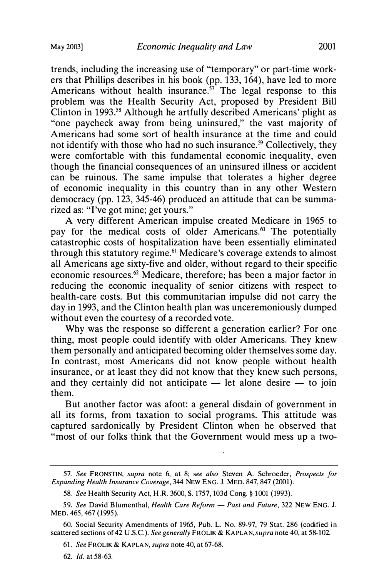trends, including the increasing use of "temporary" or part-time workers that Phillips describes in his book (pp. 133, 164), have led to more Americans without health insurance.<sup>57</sup> The legal response to this problem was the Health Security Act, proposed by President Bill Clinton in 1993.58 Although he artfully described Americans' plight as "one paycheck away from being uninsured," the vast majority of Americans had some sort of health insurance at the time and could not identify with those who had no such insurance.<sup>59</sup> Collectively, they were comfortable with this fundamental economic inequality, even though the financial consequences of an uninsured illness or accident can be ruinous. The same impulse that tolerates a higher degree of economic inequality in this country than in any other Western democracy (pp. 123, 345-46) produced an attitude that can be summarized as: "I've got mine; get yours."

A very different American impulse created Medicare in 1965 to pay for the medical costs of older Americans.<sup>60</sup> The potentially catastrophic costs of hospitalization have been essentially eliminated through this statutory regime.61 Medicare's coverage extends to almost all Americans age sixty-five and older, without regard to their specific economic resources.<sup>62</sup> Medicare, therefore; has been a major factor in reducing the economic inequality of senior citizens with respect to health-care costs. But this communitarian impulse did not carry the day in 1993, and the Clinton health plan was unceremoniously dumped without even the courtesy of a recorded vote.

Why was the response so different a generation earlier? For one thing, most people could identify with older Americans. They knew them personally and anticipated becoming older themselves some day. In contrast, most Americans did not know people without health insurance, or at least they did not know that they knew such persons, and they certainly did not anticipate  $-$  let alone desire  $-$  to join them.

But another factor was afoot: a general disdain of government in all its forms, from taxation to social programs. This attitude was captured sardonically by President Clinton when he observed that "most of our folks think that the Government would mess up a two-

<sup>57.</sup> See FRONSTIN, supra note 6, at 8; see also Steven A. Schroeder, Prospects for Expanding Health Insurance Coverage, 344 NEW ENG. J. MED. 847, 847 (2001).

<sup>58.</sup> See Health Security Act, H.R. 3600, S. 1757, 103d Cong.§ 1001 (1993).

<sup>59.</sup> See David Blumenthal, Health Care Reform - Past and Future, 322 NEW ENG. J. MED. 465, 467 (1995).

<sup>60.</sup> Social Security Amendments of 1965, Pub. L. No. 89-97, 79 Stat. 286 (codified in scattered sections of 42 U.S.C.). See generally FROLIK & KAPLAN, supra note 40, at 58-102.

<sup>61.</sup> See FROLIK & KAPLAN, supra note 40, at 67-68.

<sup>62.</sup> Id. at 58-63.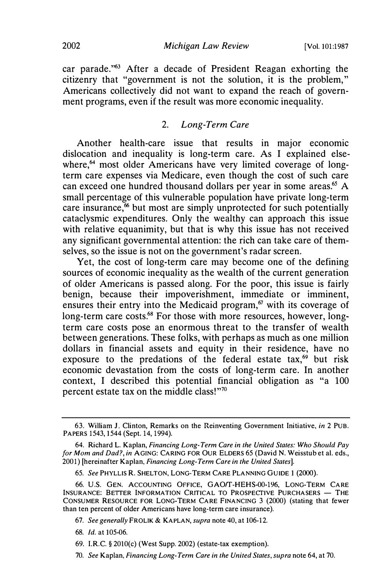car parade."63 After a decade of President Reagan exhorting the citizenry that "government is not the solution, it is the problem," Americans collectively did not want to expand the reach of government programs, even if the result was more economic inequality.

#### 2. Long-Term Care

Another health-care issue that results in major economic dislocation and inequality is long-term care. As I explained elsewhere,<sup>64</sup> most older Americans have very limited coverage of longterm care expenses via Medicare, even though the cost of such care can exceed one hundred thousand dollars per year in some areas.<sup>65</sup> A small percentage of this vulnerable population have private long-term care insurance, $66$  but most are simply unprotected for such potentially cataclysmic expenditures. Only the wealthy can approach this issue with relative equanimity, but that is why this issue has not received any significant governmental attention: the rich can take care of themselves, so the issue is not on the government's radar screen.

Yet, the cost of long-term care may become one of the defining sources of economic inequality as the wealth of the current generation of older Americans is passed along. For the poor, this issue is fairly benign, because their impoverishment, immediate or imminent, ensures their entry into the Medicaid program, $67$  with its coverage of long-term care costs.<sup>68</sup> For those with more resources, however, longterm care costs pose an enormous threat to the transfer of wealth between generations. These folks, with perhaps as much as one million dollars in financial assets and equity in their residence, have no exposure to the predations of the federal estate tax, $69$  but risk economic devastation from the costs of long-term care. In another context, I described this potential financial obligation as "a 100 percent estate tax on the middle class!"70

- 68. Id. at 105-06.
- 69. I.RC.§ 2010(c) (West Supp. 2002) (estate-tax exemption).
- 70. See Kaplan, Financing Long-Term Care in the United States, supra note 64, at 70.

<sup>63.</sup> William J. Clinton, Remarks on the Reinventing Government Initiative, in 2 PUB. PAPERS 1543, 1544 (Sept. 14, 1994).

<sup>64.</sup> Richard L. Kaplan, Financing Long-Term Care in the United States: Who Should Pay for Mom and Dad?, in AGING: CARING FOR OUR ELDERS 65 (David N. Weisstub et al. eds., 2001) [hereinafter Kaplan, Financing Long-Term Care in the United States].

<sup>65.</sup> See PHYLLIS R. SHELTON, LONG-TERM CARE PLANNING GUIDE 1 (2000).

<sup>66.</sup> U.S. GEN. ACCOUNTING OFFICE, GAOff-HEHS-00-196, LONG-TERM CARE INSURANCE: BETTER INFORMATION CRITICAL TO PROSPECTIVE PURCHASERS - THE CONSUMER RESOURCE FOR LONG-TERM CARE FINANCING 3 (2000) (stating that fewer than ten percent of older Americans have long-term care insurance).

<sup>67.</sup> See generally FROLIK & KAPLAN, supra note 40, at 106-12.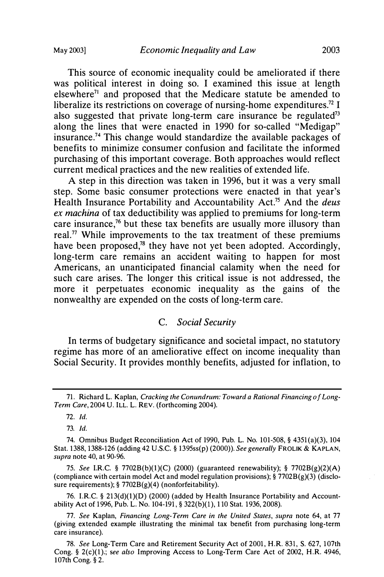This source of economic inequality could be ameliorated if there was political interest in doing so. I examined this issue at length  $e^{\int$ lelsewhere<sup>71</sup> and proposed that the Medicare statute be amended to liberalize its restrictions on coverage of nursing-home expenditures.<sup>72</sup> I also suggested that private long-term care insurance be regulated<sup>73</sup> along the lines that were enacted in 1990 for so-called "Medigap" insurance.<sup>74</sup> This change would standardize the available packages of benefits to minimize consumer confusion and facilitate the informed purchasing of this important coverage. Both approaches would reflect current medical practices and the new realities of extended life.

A step in this direction was taken in 1996, but it was a very small step. Some basic consumer protections were enacted in that year's Health Insurance Portability and Accountability Act.<sup>75</sup> And the *deus* ex machina of tax deductibility was applied to premiums for long-term care insurance,<sup>76</sup> but these tax benefits are usually more illusory than real.<sup>77</sup> While improvements to the tax treatment of these premiums have been proposed, $78$  they have not yet been adopted. Accordingly, long-term care remains an accident waiting to happen for most Americans, an unanticipated financial calamity when the need for such care arises. The longer this critical issue is not addressed, the more it perpetuates economic inequality as the gains of the nonwealthy are expended on the costs of long-term care.

#### C. Social Security

In terms of budgetary significance and societal impact, no statutory regime has more of an ameliorative effect on income inequality than Social Security. It provides monthly benefits, adjusted for inflation, to

73. Id.

75. See I.RC. § 7702B(b)(l)(C) (2000) (guaranteed renewability); § 7702B(g)(2)(A) (compliance with certain model Act and model regulation provisions);  $\S 7702B(g)(3)$  (disclosure requirements);  $\S 7702B(g)(4)$  (nonforfeitability).

76. I.R.C. § 213(d)(1)(D) (2000) (added by Health Insurance Portability and Accountability Act of 1996, Pub. L. No. 104-191, § 322(b)(l), 1 10 Stat. 1936, 2008).

77. See Kaplan, Financing Long-Term Care in the United States, supra note 64, at 77 (giving extended example illustrating the minimal tax benefit from purchasing long-term care insurance).

<sup>71.</sup> Richard L. Kaplan, Cracking the Conundrum: Toward a Rational Financing of Long-Term Care, 2004 U. ILL. L. REV. (forthcoming 2004).

<sup>72.</sup> Id.

<sup>74.</sup> Omnibus Budget Reconciliation Act of 1990, Pub. L. No. 101-508, § 4351(a)(3), 104 Stat. 1388, 1388-126 (adding 42 U.S.C. § 1395ss(p) (2000)). See generally FROLIK & KAPLAN, supra note 40, at 90-96.

<sup>78.</sup> See Long-Term Care and Retirement Security Act of 2001, H.R 831, S. 627, 107th Cong. §  $2(c)(1)$ ; see also Improving Access to Long-Term Care Act of 2002, H.R. 4946, 107th Cong. § 2.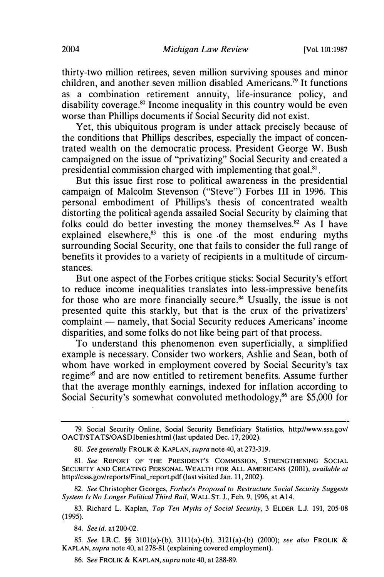thirty-two million retirees, seven million surviving spouses and minor children, and another seven million disabled Americans.<sup>79</sup> It functions as a combination retirement annuity, life-insurance policy, and disability coverage.<sup>80</sup> Income inequality in this country would be even worse than Phillips documents if Social Security did not exist.

Yet, this ubiquitous program is under attack precisely because of the conditions that Phillips describes, especially the impact of concentrated wealth on the democratic process. President George W. Bush campaigned on the issue of "privatizing" Social Security and created a presidential commission charged with implementing that goal.81 .

But this issue first rose to political awareness in the presidential campaign of Malcolm Stevenson ("Steve") Forbes III in 1996. This personal embodiment of Phillips's thesis of concentrated wealth distorting the political· agenda assailed Social Security by claiming that folks could do better investing the money themselves.<sup>82</sup> As I have explained elsewhere, $83$  this is one of the most enduring myths surrounding Social Security, one that fails to consider the full range of benefits it provides to a variety of recipients in a multitude of circumstances.

But one aspect of the Forbes critique sticks: Social Security's effort to reduce income inequalities translates into less-impressive benefits for those who are more financially secure.<sup>84</sup> Usually, the issue is not presented quite this starkly, but that is the crux of the privatizers' complaint — namely, that Social Security reduces Americans' income disparities, and some folks do not like being part of that process.

To understand this phenomenon even superficially, a simplified example is necessary. Consider two workers, Ashlie and Sean, both of whom have worked in employment covered by Social Security's tax regime<sup>85</sup> and are now entitled to retirement benefits. Assume further that the average monthly earnings, indexed for inflation according to Social Security's somewhat convoluted methodology,<sup>86</sup> are \$5,000 for

82. See Christopher Georges, Forbes's Proposal to Restructure Social Security Suggests System Is No Longer Political Third Rail, WALL ST. J., Feb. 9, 1996, at A14.

83. Richard L. Kaplan, Top Ten Myths of Social Security, 3 ELDER L.J. 191, 205-08 (1995).

84. See id. at 200-02.

85. See I.RC. §§ 3101(a)-(b), 3111(a)-(b), 312l (a)-(b) (2000); see also FROLIK & KAPLAN, supra note 40, at 278-81 (explaining covered employment).

86. See FROLIK & KAPLAN, supra note 40, at 288-89.

<sup>79.</sup> Social Security Online, Social Security Beneficiary Statistics, http://www.ssa.gov/ OACT/STATS/OASD!benies.html (last updated Dec. 17, 2002).

<sup>80.</sup> See generally FROLIK & KAPLAN, supra note 40, at 273-319.

<sup>81.</sup> See REPORT OF THE PRESIDENT'S COMMISSION, STRENGTHENING SOCIAL SECURITY AND CREATING PERSONAL WEALTH FOR ALL AMERICANS (2001), available at http://csss.gov/reports/Final\_report.pdf (last visited Jan. 11, 2002).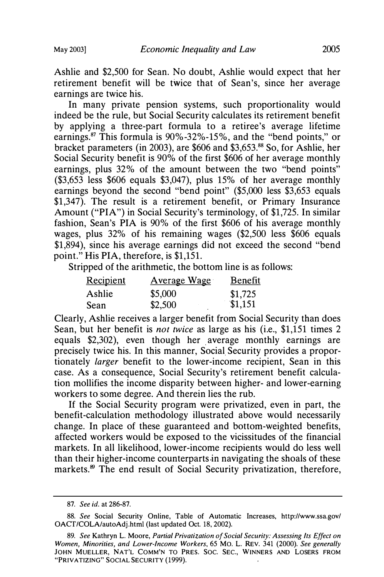Ashlie and \$2,500 for Sean. No doubt, Ashlie would expect that her retirement benefit will be twice that of Sean's, since her average earnings are twice his.

In many private pension systems, such proportionality would indeed be the rule, but Social Security calculates its retirement benefit by applying a three-part formula to a retiree's average lifetime earnings.<sup>87</sup> This formula is  $90\% -32\% -15\%$ , and the "bend points," or bracket parameters (in 2003), are \$606 and \$3,653.88 So, for Ashlie, her Social Security benefit is 90% of the first \$606 of her average monthly earnings, plus 32% of the amount between the two "bend points" (\$3,653 less \$606 equals \$3,047), plus 15% of her average monthly earnings beyond the second "bend point" (\$5,000 less \$3,653 equals \$1,347). The result is a retirement benefit, or Primary Insurance Amount ("PIA") in Social Security's terminology, of \$1,725. In similar fashion, Sean's PIA is 90% of the first \$606 of his average monthly wages, plus 32% of his remaining wages (\$2,500 less \$606 equals \$1,894), since his average earnings did not exceed the second "bend point." His PIA, therefore, is \$1,151.

Stripped of the arithmetic, the bottom line is as follows:

| Recipient | <b>Average Wage</b> | <b>Benefit</b> |
|-----------|---------------------|----------------|
| Ashlie    | \$5,000             | \$1,725        |
| Sean      | \$2,500             | \$1,151        |

Clearly, Ashlie receives a larger benefit from Social Security than does Sean, but her benefit is not twice as large as his (i.e., \$1,151 times 2 equals \$2,302), even though her average monthly earnings are precisely twice his. In this manner, Social Security provides a proportionately larger benefit to the lower-income recipient, Sean in this case. As a consequence, Social Security's retirement benefit calculation mollifies the income disparity between higher- and lower-earning workers to some degree. And therein lies the rub.

If the Social Security program were privatized, even in part, the benefit-calculation methodology illustrated above would necessarily change. In place of these guaranteed and bottom-weighted benefits, affected workers would be exposed to the vicissitudes of the financial markets. In all likelihood, lower-income recipients would do less well than their higher-income counterparts in navigating the shoals of these markets.<sup>89</sup> The end result of Social Security privatization, therefore,

<sup>87.</sup> See id. at 286-87.

<sup>88.</sup> See Social Security Online, Table of Automatic Increases, http://www.ssa.gov/ OACT/COLA/autoAdj.html (last updated Oct. 18, 2002).

<sup>89.</sup> See Kathryn L. Moore, Partial Privatization of Social Security: Assessing Its Effect on Women, Minorities, and Lower-Income Workers, 65 Mo. L. REV. 341 (2000). See generally JOHN MUELLER, NAT'L COMM'N TO PRES. SOC. SEC., WINNERS AND LOSERS FROM "PRIVATIZING" SOCIAL SECURITY (1999).